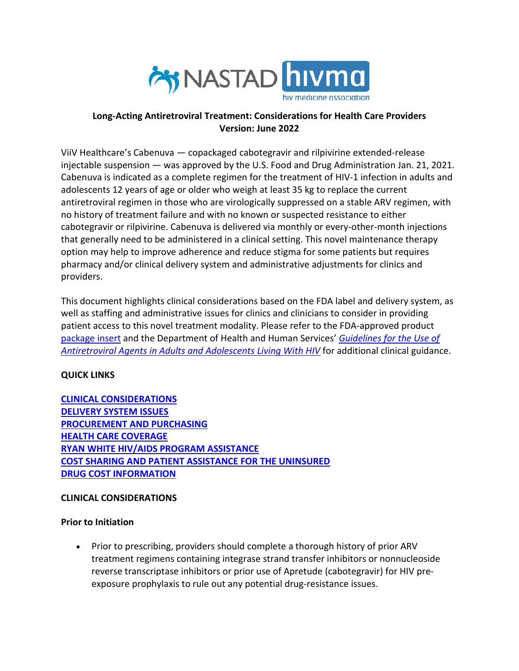

#### **Long-Acting Antiretroviral Treatment: Considerations for Health Care Providers Version: June 2022**

ViiV Healthcare's Cabenuva — copackaged cabotegravir and rilpivirine extended-release injectable suspension — was approved by the U.S. Food and Drug Administration Jan. 21, 2021. Cabenuva is indicated as a complete regimen for the treatment of HIV-1 infection in adults and adolescents 12 years of age or older who weigh at least 35 kg to replace the current antiretroviral regimen in those who are virologically suppressed on a stable ARV regimen, with no history of treatment failure and with no known or suspected resistance to either cabotegravir or rilpivirine. Cabenuva is delivered via monthly or every-other-month injections that generally need to be administered in a clinical setting. This novel maintenance therapy option may help to improve adherence and reduce stigma for some patients but requires pharmacy and/or clinical delivery system and administrative adjustments for clinics and providers.

This document highlights clinical considerations based on the FDA label and delivery system, as well as staffing and administrative issues for clinics and clinicians to consider in providing patient access to this novel treatment modality. Please refer to the FDA-approved product [package insert](https://gskpro.com/content/dam/global/hcpportal/en_US/Prescribing_Information/Cabenuva/pdf/CABENUVA-PI-PIL-IFU2-IFU3.PDF) and the Department of Health and Human Services' *[Guidelines for the Use of](https://clinicalinfo.hiv.gov/en/guidelines/adult-and-adolescent-arv/whats-new-guidelines)  [Antiretroviral Agents in Adults and Adolescents Living With HIV](https://clinicalinfo.hiv.gov/en/guidelines/adult-and-adolescent-arv/whats-new-guidelines)* for additional clinical guidance.

## **QUICK LINKS**

**[CLINICAL CONSIDERATIONS](#page-0-0) [DELIVERY SYSTEM ISSUES](#page-2-0) [PROCUREMENT AND PURCHASING](#page-3-0) HEALTH [CARE COVERAGE](#page-3-1) [RYAN WHITE HIV/AIDS PROGRAM ASSISTANCE](#page-4-0) [COST SHARING AND PATIENT ASSISTANCE FOR THE UNINSURED](#page-5-0) [DRUG COST INFORMATION](#page-5-1)**

## <span id="page-0-0"></span>**CLINICAL CONSIDERATIONS**

## **Prior to Initiation**

• Prior to prescribing, providers should complete a thorough history of prior ARV treatment regimens containing integrase strand transfer inhibitors or nonnucleoside reverse transcriptase inhibitors or prior use of Apretude (cabotegravir) for HIV preexposure prophylaxis to rule out any potential drug-resistance issues.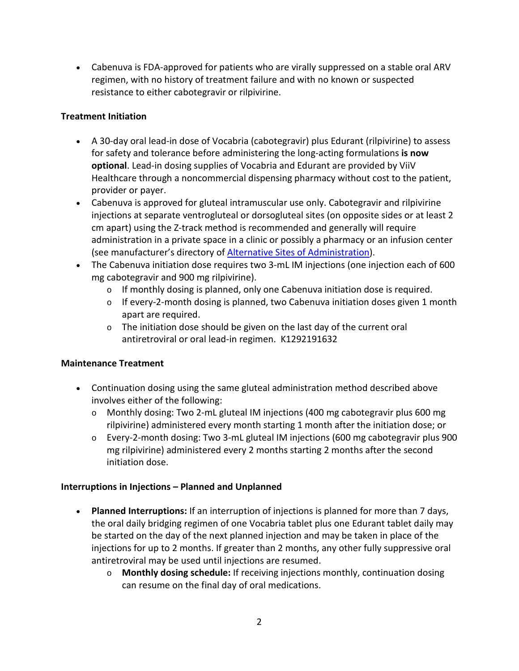• Cabenuva is FDA-approved for patients who are virally suppressed on a stable oral ARV regimen, with no history of treatment failure and with no known or suspected resistance to either cabotegravir or rilpivirine.

## **Treatment Initiation**

- A 30-day oral lead-in dose of Vocabria (cabotegravir) plus Edurant (rilpivirine) to assess for safety and tolerance before administering the long-acting formulations **is now optional**. Lead-in dosing supplies of Vocabria and Edurant are provided by ViiV Healthcare through a noncommercial dispensing pharmacy without cost to the patient, provider or payer.
- Cabenuva is approved for gluteal intramuscular use only. Cabotegravir and rilpivirine injections at separate ventrogluteal or dorsogluteal sites (on opposite sides or at least 2 cm apart) using the Z-track method is recommended and generally will require administration in a private space in a clinic or possibly a pharmacy or an infusion center (see manufacturer's directory of [Alternative Sites of Administration\)](https://www.viivconnect.com/injection-site-finder/).
- The Cabenuva initiation dose requires two 3-mL IM injections (one injection each of 600 mg cabotegravir and 900 mg rilpivirine).
	- $\circ$  If monthly dosing is planned, only one Cabenuva initiation dose is required.
	- o If every-2-month dosing is planned, two Cabenuva initiation doses given 1 month apart are required.
	- o The initiation dose should be given on the last day of the current oral antiretroviral or oral lead-in regimen. K1292191632

# **Maintenance Treatment**

- Continuation dosing using the same gluteal administration method described above involves either of the following:
	- o Monthly dosing: Two 2-mL gluteal IM injections (400 mg cabotegravir plus 600 mg rilpivirine) administered every month starting 1 month after the initiation dose; or
	- o Every-2-month dosing: Two 3-mL gluteal IM injections (600 mg cabotegravir plus 900 mg rilpivirine) administered every 2 months starting 2 months after the second initiation dose.

## **Interruptions in Injections – Planned and Unplanned**

- **Planned Interruptions:** If an interruption of injections is planned for more than 7 days, the oral daily bridging regimen of one Vocabria tablet plus one Edurant tablet daily may be started on the day of the next planned injection and may be taken in place of the injections for up to 2 months. If greater than 2 months, any other fully suppressive oral antiretroviral may be used until injections are resumed.
	- o **Monthly dosing schedule:** If receiving injections monthly, continuation dosing can resume on the final day of oral medications.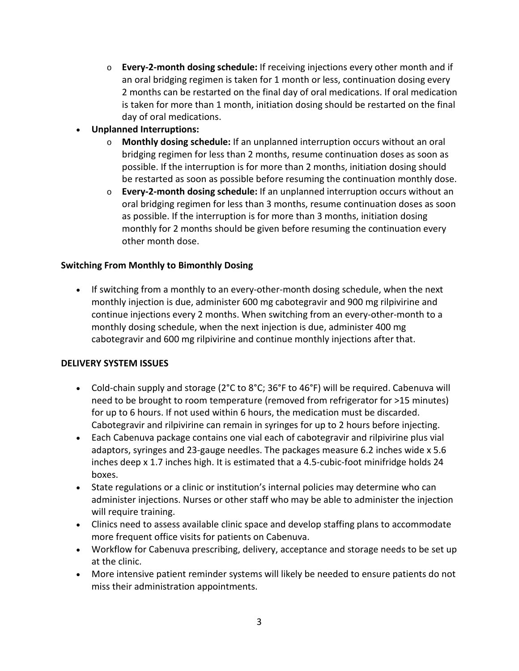- o **Every-2-month dosing schedule:** If receiving injections every other month and if an oral bridging regimen is taken for 1 month or less, continuation dosing every 2 months can be restarted on the final day of oral medications. If oral medication is taken for more than 1 month, initiation dosing should be restarted on the final day of oral medications.
- **Unplanned Interruptions:** 
	- o **Monthly dosing schedule:** If an unplanned interruption occurs without an oral bridging regimen for less than 2 months, resume continuation doses as soon as possible. If the interruption is for more than 2 months, initiation dosing should be restarted as soon as possible before resuming the continuation monthly dose.
	- o **Every-2-month dosing schedule:** If an unplanned interruption occurs without an oral bridging regimen for less than 3 months, resume continuation doses as soon as possible. If the interruption is for more than 3 months, initiation dosing monthly for 2 months should be given before resuming the continuation every other month dose.

#### **Switching From Monthly to Bimonthly Dosing**

• If switching from a monthly to an every-other-month dosing schedule, when the next monthly injection is due, administer 600 mg cabotegravir and 900 mg rilpivirine and continue injections every 2 months. When switching from an every-other-month to a monthly dosing schedule, when the next injection is due, administer 400 mg cabotegravir and 600 mg rilpivirine and continue monthly injections after that.

#### <span id="page-2-0"></span>**DELIVERY SYSTEM ISSUES**

- Cold-chain supply and storage (2°C to 8°C; 36°F to 46°F) will be required. Cabenuva will need to be brought to room temperature (removed from refrigerator for >15 minutes) for up to 6 hours. If not used within 6 hours, the medication must be discarded. Cabotegravir and rilpivirine can remain in syringes for up to 2 hours before injecting.
- Each Cabenuva package contains one vial each of cabotegravir and rilpivirine plus vial adaptors, syringes and 23-gauge needles. The packages measure 6.2 inches wide x 5.6 inches deep x 1.7 inches high. It is estimated that a 4.5-cubic-foot minifridge holds 24 boxes.
- State regulations or a clinic or institution's internal policies may determine who can administer injections. Nurses or other staff who may be able to administer the injection will require training.
- Clinics need to assess available clinic space and develop staffing plans to accommodate more frequent office visits for patients on Cabenuva.
- Workflow for Cabenuva prescribing, delivery, acceptance and storage needs to be set up at the clinic.
- More intensive patient reminder systems will likely be needed to ensure patients do not miss their administration appointments.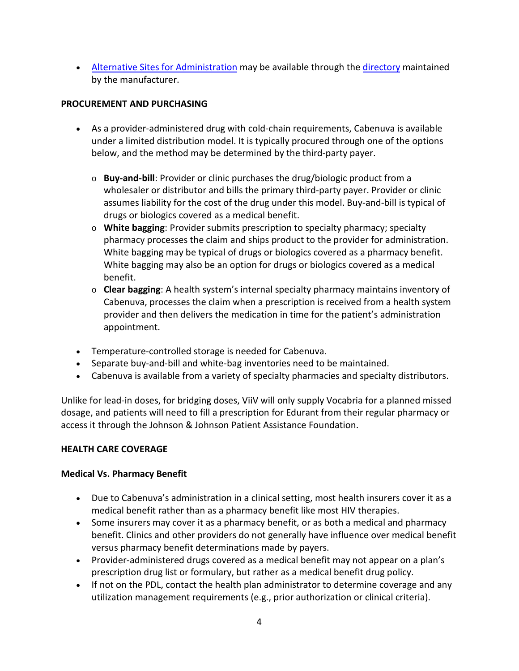• [Alternative Sites for Administration](https://www.viivconnect.com/injection-site-finder/) may be available through the [directory](https://www.viivconnect.com/injection-site-finder/) maintained by the manufacturer.

## <span id="page-3-0"></span>**PROCUREMENT AND PURCHASING**

- As a provider-administered drug with cold-chain requirements, Cabenuva is available under a limited distribution model. It is typically procured through one of the options below, and the method may be determined by the third-party payer.
	- o **Buy-and-bill**: Provider or clinic purchases the drug/biologic product from a wholesaler or distributor and bills the primary third-party payer. Provider or clinic assumes liability for the cost of the drug under this model. Buy-and-bill is typical of drugs or biologics covered as a medical benefit.
	- o **White bagging**: Provider submits prescription to specialty pharmacy; specialty pharmacy processes the claim and ships product to the provider for administration. White bagging may be typical of drugs or biologics covered as a pharmacy benefit. White bagging may also be an option for drugs or biologics covered as a medical benefit.
	- o **Clear bagging**: A health system's internal specialty pharmacy maintains inventory of Cabenuva, processes the claim when a prescription is received from a health system provider and then delivers the medication in time for the patient's administration appointment.
- Temperature-controlled storage is needed for Cabenuva.
- Separate buy-and-bill and white-bag inventories need to be maintained.
- Cabenuva is available from a variety of specialty pharmacies and specialty distributors.

Unlike for lead-in doses, for bridging doses, ViiV will only supply Vocabria for a planned missed dosage, and patients will need to fill a prescription for Edurant from their regular pharmacy or access it through the Johnson & Johnson Patient Assistance Foundation.

## <span id="page-3-1"></span>**HEALTH CARE COVERAGE**

## **Medical Vs. Pharmacy Benefit**

- Due to Cabenuva's administration in a clinical setting, most health insurers cover it as a medical benefit rather than as a pharmacy benefit like most HIV therapies.
- Some insurers may cover it as a pharmacy benefit, or as both a medical and pharmacy benefit. Clinics and other providers do not generally have influence over medical benefit versus pharmacy benefit determinations made by payers.
- Provider-administered drugs covered as a medical benefit may not appear on a plan's prescription drug list or formulary, but rather as a medical benefit drug policy.
- If not on the PDL, contact the health plan administrator to determine coverage and any utilization management requirements (e.g., prior authorization or clinical criteria).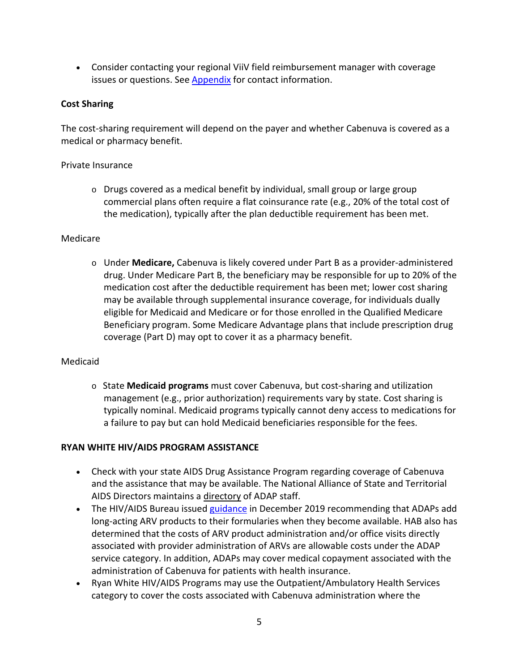• Consider contacting your regional ViiV field reimbursement manager with coverage issues or questions. See [Appendix](#page-6-0) for contact information.

## **Cost Sharing**

The cost-sharing requirement will depend on the payer and whether Cabenuva is covered as a medical or pharmacy benefit.

## Private Insurance

 $\circ$  Drugs covered as a medical benefit by individual, small group or large group commercial plans often require a flat coinsurance rate (e.g., 20% of the total cost of the medication), typically after the plan deductible requirement has been met.

## Medicare

o Under **Medicare,** Cabenuva is likely covered under Part B as a provider-administered drug. Under Medicare Part B, the beneficiary may be responsible for up to 20% of the medication cost after the deductible requirement has been met; lower cost sharing may be available through supplemental insurance coverage, for individuals dually eligible for Medicaid and Medicare or for those enrolled in the Qualified Medicare Beneficiary program. Some Medicare Advantage plans that include prescription drug coverage (Part D) may opt to cover it as a pharmacy benefit.

## Medicaid

o State **Medicaid programs** must cover Cabenuva, but cost-sharing and utilization management (e.g., prior authorization) requirements vary by state. Cost sharing is typically nominal. Medicaid programs typically cannot deny access to medications for a failure to pay but can hold Medicaid beneficiaries responsible for the fees.

# <span id="page-4-0"></span>**RYAN WHITE HIV/AIDS PROGRAM ASSISTANCE**

- Check with your state AIDS Drug Assistance Program regarding coverage of Cabenuva and the assistance that may be available. The National Alliance of State and Territorial AIDS Directors maintains a [directory](https://www.nastad.org/membership-directory) of ADAP staff.
- The HIV/AIDS Bureau issued [guidance](https://ryanwhite.hrsa.gov/sites/default/files/ryanwhite/grants/dcl-rwhap-adap-long-act-arv.pdf) in December 2019 recommending that ADAPs add long-acting ARV products to their formularies when they become available. HAB also has determined that the costs of ARV product administration and/or office visits directly associated with provider administration of ARVs are allowable costs under the ADAP service category. In addition, ADAPs may cover medical copayment associated with the administration of Cabenuva for patients with health insurance.
- Ryan White HIV/AIDS Programs may use the Outpatient/Ambulatory Health Services category to cover the costs associated with Cabenuva administration where the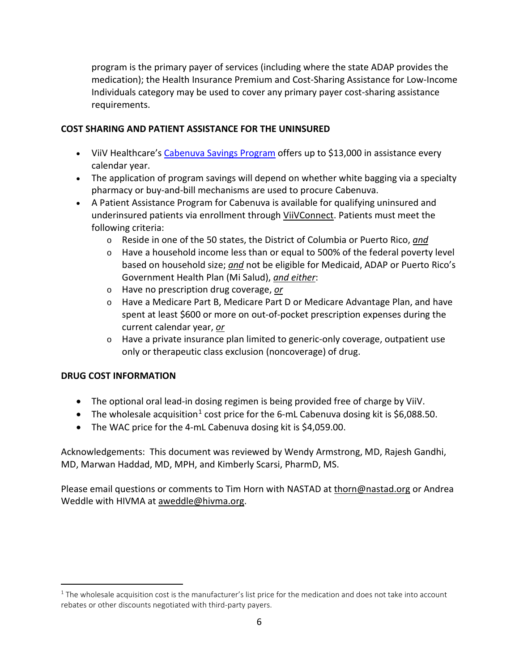program is the primary payer of services (including where the state ADAP provides the medication); the Health Insurance Premium and Cost-Sharing Assistance for Low-Income Individuals category may be used to cover any primary payer cost-sharing assistance requirements.

#### <span id="page-5-0"></span>**COST SHARING AND PATIENT ASSISTANCE FOR THE UNINSURED**

- ViiV Healthcare's [Cabenuva Savings Program](https://www.viivconnect.com/for-providers/viivconnect-programs/) offers up to \$13,000 in assistance every calendar year.
- The application of program savings will depend on whether white bagging via a specialty pharmacy or buy-and-bill mechanisms are used to procure Cabenuva.
- A Patient Assistance Program for Cabenuva is available for qualifying uninsured and underinsured patients via enrollment through [ViiVConnect.](https://www.viivconnect.com/) Patients must meet the following criteria:
	- o Reside in one of the 50 states, the District of Columbia or Puerto Rico, *and*
	- o Have a household income less than or equal to 500% of the federal poverty level based on household size; *and* not be eligible for Medicaid, ADAP or Puerto Rico's Government Health Plan (Mi Salud), *and either*:
	- o Have no prescription drug coverage, *or*
	- o Have a Medicare Part B, Medicare Part D or Medicare Advantage Plan, and have spent at least \$600 or more on out-of-pocket prescription expenses during the current calendar year, *or*
	- o Have a private insurance plan limited to generic-only coverage, outpatient use only or therapeutic class exclusion (noncoverage) of drug.

#### <span id="page-5-1"></span>**DRUG COST INFORMATION**

- The optional oral lead-in dosing regimen is being provided free of charge by ViiV.
- The wholesale acquisition<sup>[1](#page-5-2)</sup> cost price for the 6-mL Cabenuva dosing kit is \$6,088.50.
- The WAC price for the 4-mL Cabenuva dosing kit is \$4,059.00.

Acknowledgements: This document was reviewed by Wendy Armstrong, MD, Rajesh Gandhi, MD, Marwan Haddad, MD, MPH, and Kimberly Scarsi, PharmD, MS.

Please email questions or comments to Tim Horn with NASTAD at [thorn@nastad.org](mailto:thorn@nastad.org) or Andrea Weddle with HIVMA at [aweddle@hivma.org.](mailto:aweddle@hivma.org)

<span id="page-5-2"></span> $1$  The wholesale acquisition cost is the manufacturer's list price for the medication and does not take into account rebates or other discounts negotiated with third-party payers.